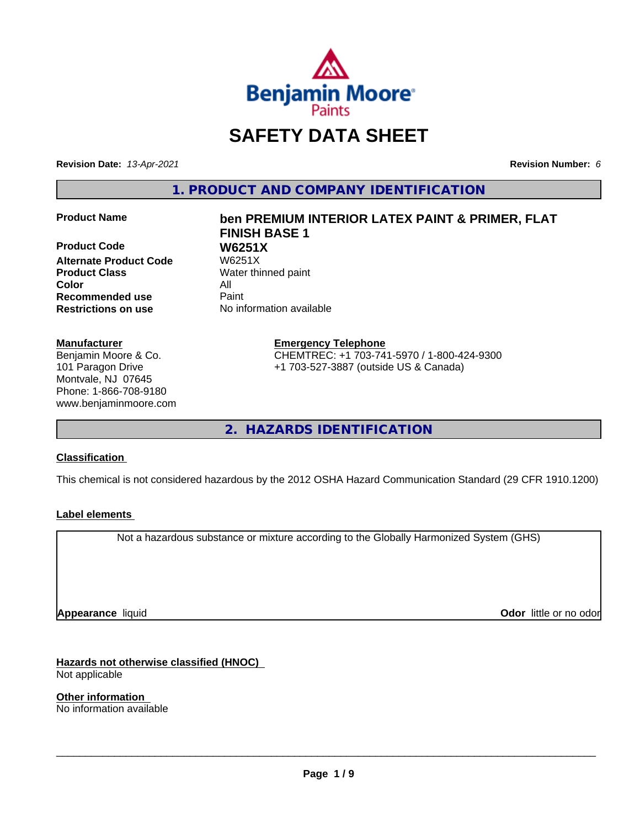

# **SAFETY DATA SHEET**

**Revision Date:** *13-Apr-2021* **Revision Number:** *6*

**1. PRODUCT AND COMPANY IDENTIFICATION**

**Product Code W6251X**<br>Alternate Product Code W6251X **Alternate Product Code Product Class** Water thinned paint **Color** All **Recommended use** Paint **Restrictions on use** No information available

#### **Manufacturer**

Benjamin Moore & Co. 101 Paragon Drive Montvale, NJ 07645 Phone: 1-866-708-9180 www.benjaminmoore.com

# **Product Name ben PREMIUM INTERIOR LATEX PAINT & PRIMER, FLAT FINISH BASE 1**

**Emergency Telephone** CHEMTREC: +1 703-741-5970 / 1-800-424-9300 +1 703-527-3887 (outside US & Canada)

**2. HAZARDS IDENTIFICATION**

#### **Classification**

This chemical is not considered hazardous by the 2012 OSHA Hazard Communication Standard (29 CFR 1910.1200)

#### **Label elements**

Not a hazardous substance or mixture according to the Globally Harmonized System (GHS)

**Appearance** liquid

**Odor** little or no odor

**Hazards not otherwise classified (HNOC)** Not applicable

**Other information** No information available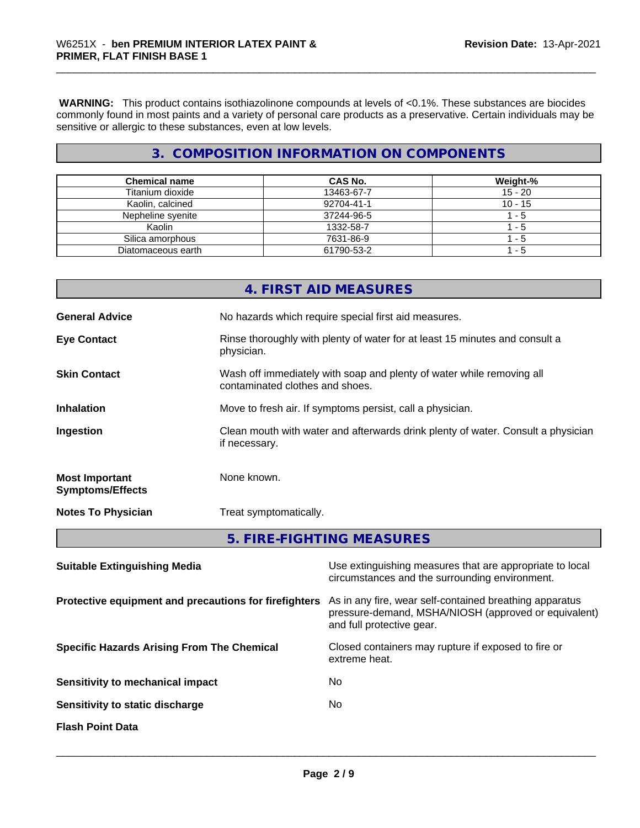**WARNING:** This product contains isothiazolinone compounds at levels of <0.1%. These substances are biocides commonly found in most paints and a variety of personal care products as a preservative. Certain individuals may be sensitive or allergic to these substances, even at low levels.

## **3. COMPOSITION INFORMATION ON COMPONENTS**

| <b>Chemical name</b> | <b>CAS No.</b> | Weight-%  |
|----------------------|----------------|-----------|
| Titanium dioxide     | 13463-67-7     | $15 - 20$ |
| Kaolin, calcined     | 92704-41-1     | $10 - 15$ |
| Nepheline svenite    | 37244-96-5     | - 5       |
| Kaolin               | 1332-58-7      | - 5       |
| Silica amorphous     | 7631-86-9      | - 5       |
| Diatomaceous earth   | 61790-53-2     | - 5       |

|                                                       |               | 4. FIRST AID MEASURES                                                                                                                        |  |  |
|-------------------------------------------------------|---------------|----------------------------------------------------------------------------------------------------------------------------------------------|--|--|
| <b>General Advice</b>                                 |               | No hazards which require special first aid measures.                                                                                         |  |  |
| <b>Eye Contact</b>                                    | physician.    | Rinse thoroughly with plenty of water for at least 15 minutes and consult a                                                                  |  |  |
| <b>Skin Contact</b>                                   |               | Wash off immediately with soap and plenty of water while removing all<br>contaminated clothes and shoes.                                     |  |  |
| <b>Inhalation</b>                                     |               | Move to fresh air. If symptoms persist, call a physician.                                                                                    |  |  |
| Ingestion                                             | if necessary. | Clean mouth with water and afterwards drink plenty of water. Consult a physician                                                             |  |  |
| <b>Most Important</b><br><b>Symptoms/Effects</b>      | None known.   |                                                                                                                                              |  |  |
| <b>Notes To Physician</b>                             |               | Treat symptomatically.                                                                                                                       |  |  |
|                                                       |               | 5. FIRE-FIGHTING MEASURES                                                                                                                    |  |  |
| <b>Suitable Extinguishing Media</b>                   |               | Use extinguishing measures that are appropriate to local<br>circumstances and the surrounding environment.                                   |  |  |
| Protective equipment and precautions for firefighters |               | As in any fire, wear self-contained breathing apparatus<br>pressure-demand, MSHA/NIOSH (approved or equivalent)<br>and full protective gear. |  |  |
| <b>Specific Hazards Arising From The Chemical</b>     |               | Closed containers may rupture if exposed to fire or                                                                                          |  |  |

**Sensitivity to mechanical impact** No

**Sensitivity to static discharge** No

**Flash Point Data**

extreme heat.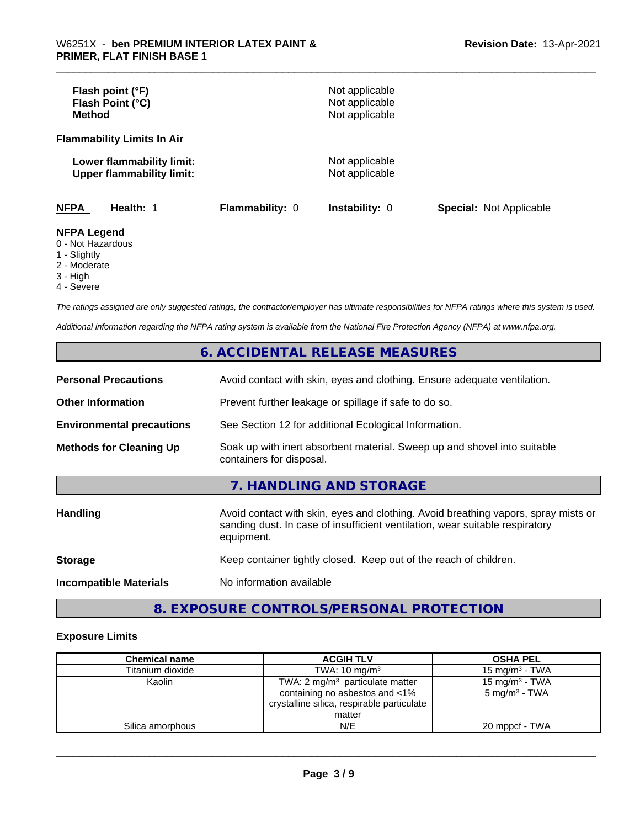| Flash point (°F)<br>Flash Point (°C)<br><b>Method</b>                                                                                                                                                                                                                                                                                                                                                  |                        | Not applicable<br>Not applicable<br>Not applicable |                                |
|--------------------------------------------------------------------------------------------------------------------------------------------------------------------------------------------------------------------------------------------------------------------------------------------------------------------------------------------------------------------------------------------------------|------------------------|----------------------------------------------------|--------------------------------|
| <b>Flammability Limits In Air</b>                                                                                                                                                                                                                                                                                                                                                                      |                        |                                                    |                                |
| Lower flammability limit:<br><b>Upper flammability limit:</b>                                                                                                                                                                                                                                                                                                                                          |                        | Not applicable<br>Not applicable                   |                                |
| <b>NFPA</b><br>Health: 1                                                                                                                                                                                                                                                                                                                                                                               | <b>Flammability: 0</b> | Instability: 0                                     | <b>Special: Not Applicable</b> |
| <b>NFPA Legend</b><br>0 - Not Hazardous<br>$\mathcal{A}$ $\mathcal{A}$ $\mathcal{A}$ $\mathcal{A}$ $\mathcal{A}$ $\mathcal{A}$ $\mathcal{A}$ $\mathcal{A}$ $\mathcal{A}$ $\mathcal{A}$ $\mathcal{A}$ $\mathcal{A}$ $\mathcal{A}$ $\mathcal{A}$ $\mathcal{A}$ $\mathcal{A}$ $\mathcal{A}$ $\mathcal{A}$ $\mathcal{A}$ $\mathcal{A}$ $\mathcal{A}$ $\mathcal{A}$ $\mathcal{A}$ $\mathcal{A}$ $\mathcal{$ |                        |                                                    |                                |

- 1 Slightly
- 2 Moderate
- 3 High
- 4 Severe

*The ratings assigned are only suggested ratings, the contractor/employer has ultimate responsibilities for NFPA ratings where this system is used.*

*Additional information regarding the NFPA rating system is available from the National Fire Protection Agency (NFPA) at www.nfpa.org.*

# **6. ACCIDENTAL RELEASE MEASURES**

| <b>Personal Precautions</b>      | Avoid contact with skin, eyes and clothing. Ensure adequate ventilation.                                                                                                         |  |
|----------------------------------|----------------------------------------------------------------------------------------------------------------------------------------------------------------------------------|--|
| <b>Other Information</b>         | Prevent further leakage or spillage if safe to do so.                                                                                                                            |  |
| <b>Environmental precautions</b> | See Section 12 for additional Ecological Information.                                                                                                                            |  |
| <b>Methods for Cleaning Up</b>   | Soak up with inert absorbent material. Sweep up and shovel into suitable<br>containers for disposal.                                                                             |  |
|                                  | 7. HANDLING AND STORAGE                                                                                                                                                          |  |
| <b>Handling</b>                  | Avoid contact with skin, eyes and clothing. Avoid breathing vapors, spray mists or<br>sanding dust. In case of insufficient ventilation, wear suitable respiratory<br>equipment. |  |
| <b>Storage</b>                   | Keep container tightly closed. Keep out of the reach of children.                                                                                                                |  |
| <b>Incompatible Materials</b>    | No information available                                                                                                                                                         |  |

# **8. EXPOSURE CONTROLS/PERSONAL PROTECTION**

#### **Exposure Limits**

| <b>Chemical name</b> | <b>ACGIH TLV</b>                                                                                                                     | <b>OSHA PEL</b>                               |
|----------------------|--------------------------------------------------------------------------------------------------------------------------------------|-----------------------------------------------|
| Titanium dioxide     | TWA: $10 \text{ mg/m}^3$                                                                                                             | 15 mg/m $3$ - TWA                             |
| Kaolin               | TWA: $2 \text{ mg/m}^3$ particulate matter<br>containing no asbestos and <1%<br>crystalline silica, respirable particulate<br>matter | 15 mg/m $3$ - TWA<br>$5 \text{ mg/m}^3$ - TWA |
| Silica amorphous     | N/E                                                                                                                                  | 20 mppcf - TWA                                |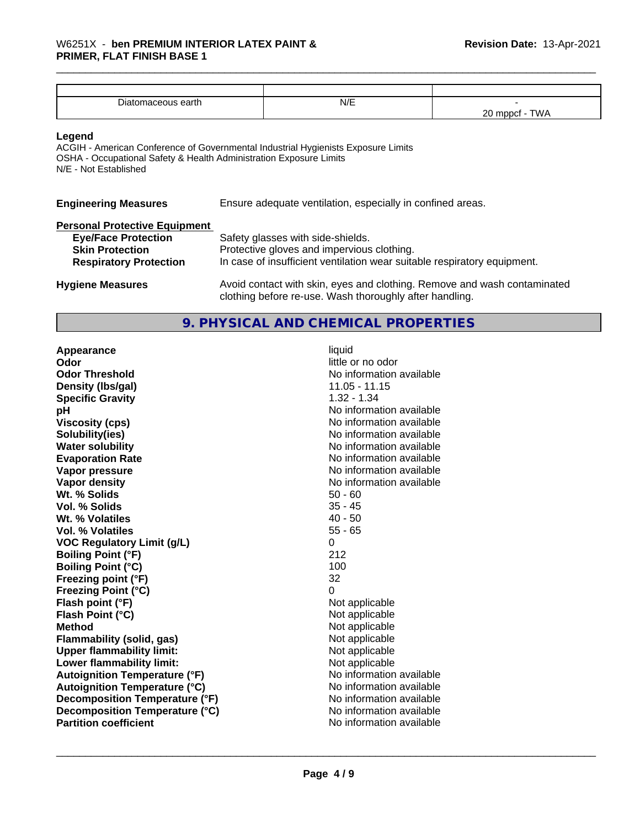| -<br><br>eartn | N/E |                                                         |
|----------------|-----|---------------------------------------------------------|
|                |     | $\sim$<br><b></b><br>$\sim$<br><b>v</b> v <i>l</i><br>∼ |

**Legend**

ACGIH - American Conference of Governmental Industrial Hygienists Exposure Limits OSHA - Occupational Safety & Health Administration Exposure Limits N/E - Not Established

|  | <b>Engineering Measures</b> |  |  |
|--|-----------------------------|--|--|
|  |                             |  |  |

Ensure adequate ventilation, especially in confined areas.

| <b>Personal Protective Equipment</b> |                                                                                                                                     |
|--------------------------------------|-------------------------------------------------------------------------------------------------------------------------------------|
| <b>Eye/Face Protection</b>           | Safety glasses with side-shields.                                                                                                   |
| <b>Skin Protection</b>               | Protective gloves and impervious clothing.                                                                                          |
| <b>Respiratory Protection</b>        | In case of insufficient ventilation wear suitable respiratory equipment.                                                            |
| <b>Hygiene Measures</b>              | Avoid contact with skin, eyes and clothing. Remove and wash contaminated<br>clothing before re-use. Wash thoroughly after handling. |

# **9. PHYSICAL AND CHEMICAL PROPERTIES**

| Appearance                           | liquid                   |
|--------------------------------------|--------------------------|
| Odor                                 | little or no odor        |
| <b>Odor Threshold</b>                | No information available |
| Density (Ibs/gal)                    | 11.05 - 11.15            |
| <b>Specific Gravity</b>              | $1.32 - 1.34$            |
| рH                                   | No information available |
| <b>Viscosity (cps)</b>               | No information available |
| Solubility(ies)                      | No information available |
| <b>Water solubility</b>              | No information available |
| <b>Evaporation Rate</b>              | No information available |
| Vapor pressure                       | No information available |
| Vapor density                        | No information available |
| Wt. % Solids                         | $50 - 60$                |
| Vol. % Solids                        | $35 - 45$                |
| Wt. % Volatiles                      | $40 - 50$                |
| Vol. % Volatiles                     | $55 - 65$                |
| <b>VOC Regulatory Limit (g/L)</b>    | 0                        |
| <b>Boiling Point (°F)</b>            | 212                      |
| <b>Boiling Point (°C)</b>            | 100                      |
| Freezing point (°F)                  | 32                       |
| <b>Freezing Point (°C)</b>           | 0                        |
| Flash point (°F)                     | Not applicable           |
| Flash Point (°C)                     | Not applicable           |
| <b>Method</b>                        | Not applicable           |
| <b>Flammability (solid, gas)</b>     | Not applicable           |
| <b>Upper flammability limit:</b>     | Not applicable           |
| Lower flammability limit:            | Not applicable           |
| <b>Autoignition Temperature (°F)</b> | No information available |
| <b>Autoignition Temperature (°C)</b> | No information available |
| Decomposition Temperature (°F)       | No information available |
| Decomposition Temperature (°C)       | No information available |
| <b>Partition coefficient</b>         | No information available |
|                                      |                          |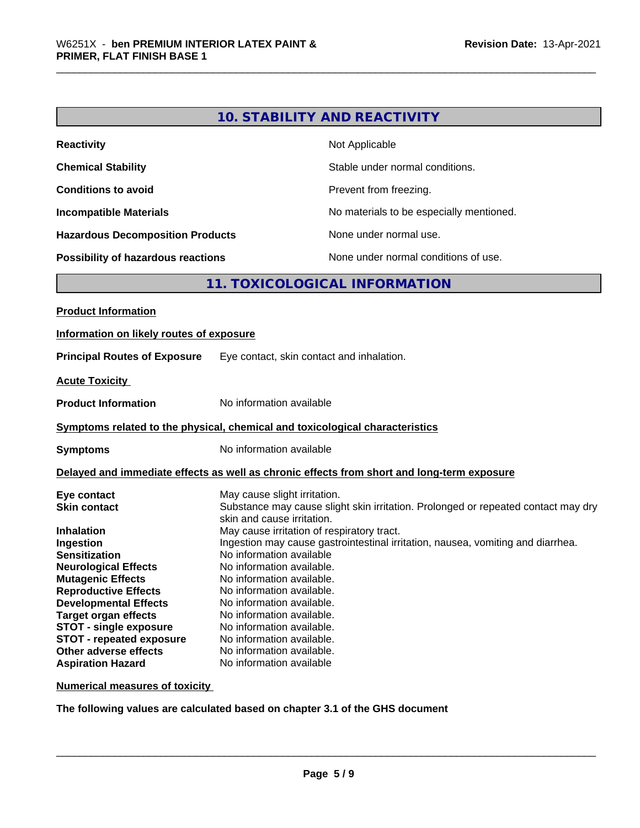# **10. STABILITY AND REACTIVITY**

| <b>Reactivity</b>                         | Not Applicable                           |
|-------------------------------------------|------------------------------------------|
| <b>Chemical Stability</b>                 | Stable under normal conditions.          |
| <b>Conditions to avoid</b>                | Prevent from freezing.                   |
| <b>Incompatible Materials</b>             | No materials to be especially mentioned. |
| <b>Hazardous Decomposition Products</b>   | None under normal use.                   |
| <b>Possibility of hazardous reactions</b> | None under normal conditions of use.     |

# **11. TOXICOLOGICAL INFORMATION**

| <b>Product Information</b>                                                                                                                                                                                                                                                                                                                                                     |                                                                                                                                                                                                                                                                                                                                                                                                                                                                                                                                                                                  |  |  |  |
|--------------------------------------------------------------------------------------------------------------------------------------------------------------------------------------------------------------------------------------------------------------------------------------------------------------------------------------------------------------------------------|----------------------------------------------------------------------------------------------------------------------------------------------------------------------------------------------------------------------------------------------------------------------------------------------------------------------------------------------------------------------------------------------------------------------------------------------------------------------------------------------------------------------------------------------------------------------------------|--|--|--|
| Information on likely routes of exposure                                                                                                                                                                                                                                                                                                                                       |                                                                                                                                                                                                                                                                                                                                                                                                                                                                                                                                                                                  |  |  |  |
| <b>Principal Routes of Exposure</b>                                                                                                                                                                                                                                                                                                                                            | Eye contact, skin contact and inhalation.                                                                                                                                                                                                                                                                                                                                                                                                                                                                                                                                        |  |  |  |
| <b>Acute Toxicity</b>                                                                                                                                                                                                                                                                                                                                                          |                                                                                                                                                                                                                                                                                                                                                                                                                                                                                                                                                                                  |  |  |  |
| <b>Product Information</b>                                                                                                                                                                                                                                                                                                                                                     | No information available                                                                                                                                                                                                                                                                                                                                                                                                                                                                                                                                                         |  |  |  |
|                                                                                                                                                                                                                                                                                                                                                                                | Symptoms related to the physical, chemical and toxicological characteristics                                                                                                                                                                                                                                                                                                                                                                                                                                                                                                     |  |  |  |
| <b>Symptoms</b>                                                                                                                                                                                                                                                                                                                                                                | No information available                                                                                                                                                                                                                                                                                                                                                                                                                                                                                                                                                         |  |  |  |
| Delayed and immediate effects as well as chronic effects from short and long-term exposure                                                                                                                                                                                                                                                                                     |                                                                                                                                                                                                                                                                                                                                                                                                                                                                                                                                                                                  |  |  |  |
| Eye contact<br><b>Skin contact</b><br><b>Inhalation</b><br>Ingestion<br><b>Sensitization</b><br><b>Neurological Effects</b><br><b>Mutagenic Effects</b><br><b>Reproductive Effects</b><br><b>Developmental Effects</b><br><b>Target organ effects</b><br><b>STOT - single exposure</b><br><b>STOT - repeated exposure</b><br>Other adverse effects<br><b>Aspiration Hazard</b> | May cause slight irritation.<br>Substance may cause slight skin irritation. Prolonged or repeated contact may dry<br>skin and cause irritation.<br>May cause irritation of respiratory tract.<br>Ingestion may cause gastrointestinal irritation, nausea, vomiting and diarrhea.<br>No information available<br>No information available.<br>No information available.<br>No information available.<br>No information available.<br>No information available.<br>No information available.<br>No information available.<br>No information available.<br>No information available |  |  |  |

**Numerical measures of toxicity**

**The following values are calculated based on chapter 3.1 of the GHS document**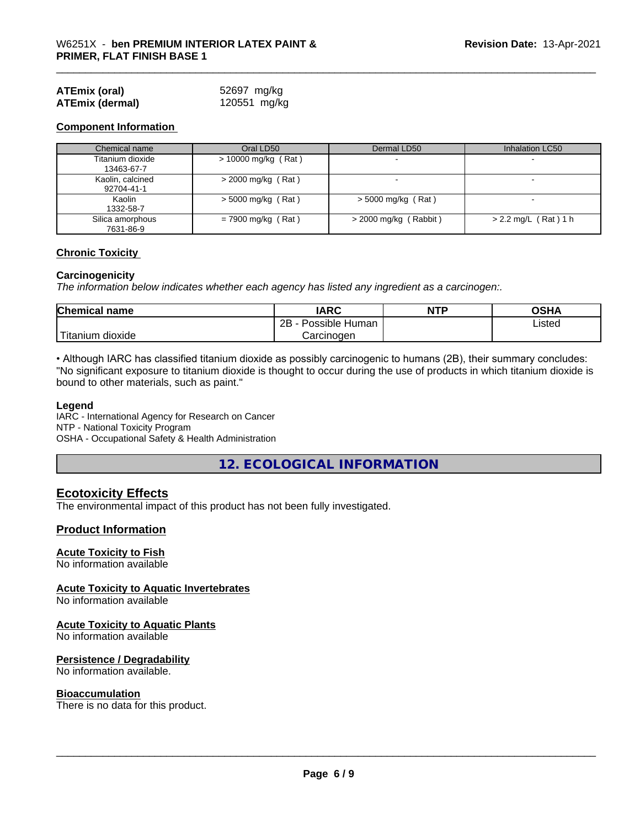| <b>ATEmix (oral)</b>   | 52697 mg/kg  |
|------------------------|--------------|
| <b>ATEmix (dermal)</b> | 120551 mg/kg |

#### **Component Information**

| Chemical name                  | Oral LD50            | Dermal LD50              | Inhalation LC50        |
|--------------------------------|----------------------|--------------------------|------------------------|
| Titanium dioxide<br>13463-67-7 | > 10000 mg/kg (Rat)  |                          |                        |
| Kaolin, calcined<br>92704-41-1 | $>$ 2000 mg/kg (Rat) | $\overline{\phantom{0}}$ |                        |
| Kaolin<br>1332-58-7            | $>$ 5000 mg/kg (Rat) | $>$ 5000 mg/kg (Rat)     |                        |
| Silica amorphous<br>7631-86-9  | $= 7900$ mg/kg (Rat) | $>$ 2000 mg/kg (Rabbit)  | $> 2.2$ mg/L (Rat) 1 h |

#### **Chronic Toxicity**

#### **Carcinogenicity**

*The information below indicateswhether each agency has listed any ingredient as a carcinogen:.*

| <b>Chemical name</b> | <b>IARC</b>                  | <b>NTP</b> | OSHA   |  |
|----------------------|------------------------------|------------|--------|--|
|                      | .<br>2B<br>Possible<br>Human |            | Listed |  |
| Titanium dioxide     | Carcinogen                   |            |        |  |

• Although IARC has classified titanium dioxide as possibly carcinogenic to humans (2B), their summary concludes: "No significant exposure to titanium dioxide is thought to occur during the use of products in which titanium dioxide is bound to other materials, such as paint."

#### **Legend**

IARC - International Agency for Research on Cancer NTP - National Toxicity Program OSHA - Occupational Safety & Health Administration

**12. ECOLOGICAL INFORMATION**

#### **Ecotoxicity Effects**

The environmental impact of this product has not been fully investigated.

#### **Product Information**

#### **Acute Toxicity to Fish**

No information available

#### **Acute Toxicity to Aquatic Invertebrates**

No information available

#### **Acute Toxicity to Aquatic Plants**

No information available

#### **Persistence / Degradability**

No information available.

#### **Bioaccumulation**

There is no data for this product.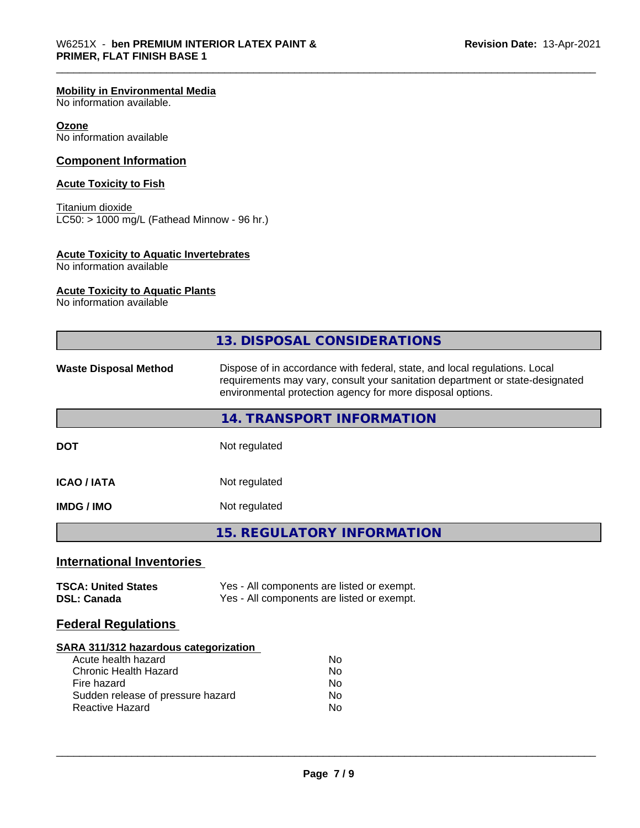#### **Mobility in Environmental Media**

No information available.

#### **Ozone**

No information available

#### **Component Information**

#### **Acute Toxicity to Fish**

Titanium dioxide  $\overline{\text{LC50:}}$  > 1000 mg/L (Fathead Minnow - 96 hr.)

#### **Acute Toxicity to Aquatic Invertebrates**

No information available

#### **Acute Toxicity to Aquatic Plants**

No information available

|                                                                                                                                                                            | 13. DISPOSAL CONSIDERATIONS                                                                                                                                                                                               |  |  |
|----------------------------------------------------------------------------------------------------------------------------------------------------------------------------|---------------------------------------------------------------------------------------------------------------------------------------------------------------------------------------------------------------------------|--|--|
| <b>Waste Disposal Method</b>                                                                                                                                               | Dispose of in accordance with federal, state, and local regulations. Local<br>requirements may vary, consult your sanitation department or state-designated<br>environmental protection agency for more disposal options. |  |  |
|                                                                                                                                                                            | 14. TRANSPORT INFORMATION                                                                                                                                                                                                 |  |  |
| <b>DOT</b>                                                                                                                                                                 | Not regulated                                                                                                                                                                                                             |  |  |
| <b>ICAO/IATA</b>                                                                                                                                                           | Not regulated                                                                                                                                                                                                             |  |  |
| <b>IMDG/IMO</b>                                                                                                                                                            | Not regulated                                                                                                                                                                                                             |  |  |
|                                                                                                                                                                            | <b>15. REGULATORY INFORMATION</b>                                                                                                                                                                                         |  |  |
| <b>International Inventories</b>                                                                                                                                           |                                                                                                                                                                                                                           |  |  |
| <b>TSCA: United States</b><br><b>DSL: Canada</b>                                                                                                                           | Yes - All components are listed or exempt.<br>Yes - All components are listed or exempt.                                                                                                                                  |  |  |
| <b>Federal Regulations</b>                                                                                                                                                 |                                                                                                                                                                                                                           |  |  |
| SARA 311/312 hazardous categorization<br>Acute health hazard<br><b>Chronic Health Hazard</b><br>Fire hazard<br>Sudden release of pressure hazard<br><b>Reactive Hazard</b> | No<br>No<br>No<br>No<br>No                                                                                                                                                                                                |  |  |
|                                                                                                                                                                            |                                                                                                                                                                                                                           |  |  |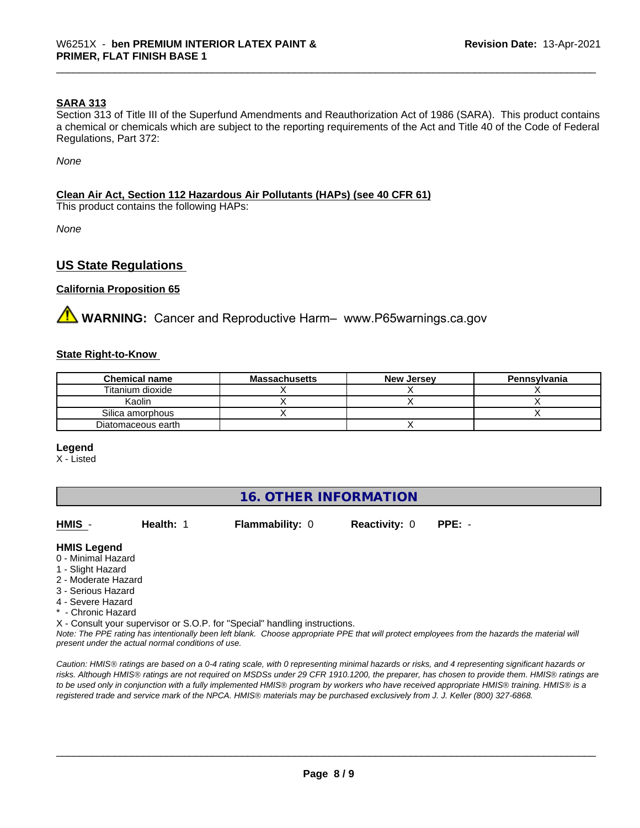#### **SARA 313**

Section 313 of Title III of the Superfund Amendments and Reauthorization Act of 1986 (SARA). This product contains a chemical or chemicals which are subject to the reporting requirements of the Act and Title 40 of the Code of Federal Regulations, Part 372:

*None*

#### **Clean Air Act,Section 112 Hazardous Air Pollutants (HAPs) (see 40 CFR 61)**

This product contains the following HAPs:

*None*

### **US State Regulations**

#### **California Proposition 65**

**AVIMARNING:** Cancer and Reproductive Harm– www.P65warnings.ca.gov

#### **State Right-to-Know**

| <b>Chemical name</b> | <b>Massachusetts</b> | <b>New Jersey</b> | Pennsylvania |
|----------------------|----------------------|-------------------|--------------|
| Titanium dioxide     |                      |                   |              |
| Kaolin               |                      |                   |              |
| Silica amorphous     |                      |                   |              |
| Diatomaceous earth   |                      |                   |              |

#### **Legend**

X - Listed

| 16. OTHER INFORMATION                                                                                                                                 |                                                    |                                                                            |                      |                                                                                                                                               |
|-------------------------------------------------------------------------------------------------------------------------------------------------------|----------------------------------------------------|----------------------------------------------------------------------------|----------------------|-----------------------------------------------------------------------------------------------------------------------------------------------|
| HMIS -                                                                                                                                                | Health: 1                                          | <b>Flammability: 0</b>                                                     | <b>Reactivity: 0</b> | $PPE: -$                                                                                                                                      |
| <b>HMIS Legend</b><br>0 - Minimal Hazard<br>1 - Slight Hazard<br>2 - Moderate Hazard<br>3 - Serious Hazard<br>4 - Severe Hazard<br>* - Chronic Hazard |                                                    | X - Consult your supervisor or S.O.P. for "Special" handling instructions. |                      |                                                                                                                                               |
|                                                                                                                                                       | present under the actual normal conditions of use. |                                                                            |                      | Note: The PPE rating has intentionally been left blank. Choose appropriate PPE that will protect employees from the hazards the material will |

*Caution: HMISÒ ratings are based on a 0-4 rating scale, with 0 representing minimal hazards or risks, and 4 representing significant hazards or risks. Although HMISÒ ratings are not required on MSDSs under 29 CFR 1910.1200, the preparer, has chosen to provide them. HMISÒ ratings are to be used only in conjunction with a fully implemented HMISÒ program by workers who have received appropriate HMISÒ training. HMISÒ is a registered trade and service mark of the NPCA. HMISÒ materials may be purchased exclusively from J. J. Keller (800) 327-6868.*